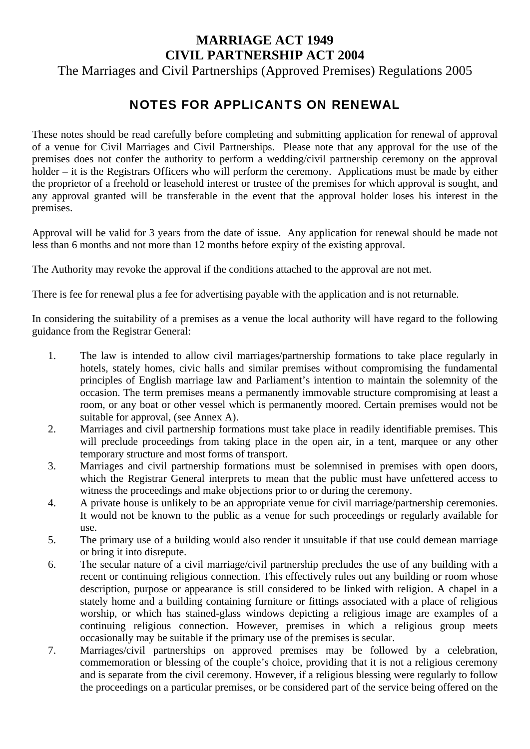# **MARRIAGE ACT 1949 CIVIL PARTNERSHIP ACT 2004**

The Marriages and Civil Partnerships (Approved Premises) Regulations 2005

# NOTES FOR APPLICANTS ON RENEWAL

These notes should be read carefully before completing and submitting application for renewal of approval of a venue for Civil Marriages and Civil Partnerships. Please note that any approval for the use of the premises does not confer the authority to perform a wedding/civil partnership ceremony on the approval holder – it is the Registrars Officers who will perform the ceremony. Applications must be made by either the proprietor of a freehold or leasehold interest or trustee of the premises for which approval is sought, and any approval granted will be transferable in the event that the approval holder loses his interest in the premises.

Approval will be valid for 3 years from the date of issue. Any application for renewal should be made not less than 6 months and not more than 12 months before expiry of the existing approval.

The Authority may revoke the approval if the conditions attached to the approval are not met.

There is fee for renewal plus a fee for advertising payable with the application and is not returnable.

In considering the suitability of a premises as a venue the local authority will have regard to the following guidance from the Registrar General:

- 1. The law is intended to allow civil marriages/partnership formations to take place regularly in hotels, stately homes, civic halls and similar premises without compromising the fundamental principles of English marriage law and Parliament's intention to maintain the solemnity of the occasion. The term premises means a permanently immovable structure compromising at least a room, or any boat or other vessel which is permanently moored. Certain premises would not be suitable for approval, (see Annex A).
- 2. Marriages and civil partnership formations must take place in readily identifiable premises. This will preclude proceedings from taking place in the open air, in a tent, marquee or any other temporary structure and most forms of transport.
- 3. Marriages and civil partnership formations must be solemnised in premises with open doors, which the Registrar General interprets to mean that the public must have unfettered access to witness the proceedings and make objections prior to or during the ceremony.
- 4. A private house is unlikely to be an appropriate venue for civil marriage/partnership ceremonies. It would not be known to the public as a venue for such proceedings or regularly available for use.
- 5. The primary use of a building would also render it unsuitable if that use could demean marriage or bring it into disrepute.
- 6. The secular nature of a civil marriage/civil partnership precludes the use of any building with a recent or continuing religious connection. This effectively rules out any building or room whose description, purpose or appearance is still considered to be linked with religion. A chapel in a stately home and a building containing furniture or fittings associated with a place of religious worship, or which has stained-glass windows depicting a religious image are examples of a continuing religious connection. However, premises in which a religious group meets occasionally may be suitable if the primary use of the premises is secular.
- 7. Marriages/civil partnerships on approved premises may be followed by a celebration, commemoration or blessing of the couple's choice, providing that it is not a religious ceremony and is separate from the civil ceremony. However, if a religious blessing were regularly to follow the proceedings on a particular premises, or be considered part of the service being offered on the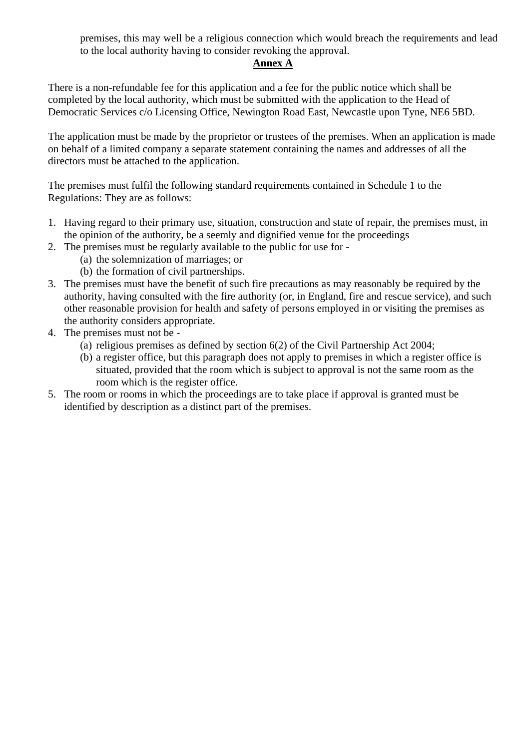premises, this may well be a religious connection which would breach the requirements and lead to the local authority having to consider revoking the approval.

### **Annex A**

There is a non-refundable fee for this application and a fee for the public notice which shall be completed by the local authority, which must be submitted with the application to the Head of Democratic Services c/o Licensing Office, Newington Road East, Newcastle upon Tyne, NE6 5BD.

The application must be made by the proprietor or trustees of the premises. When an application is made on behalf of a limited company a separate statement containing the names and addresses of all the directors must be attached to the application.

The premises must fulfil the following standard requirements contained in Schedule 1 to the Regulations: They are as follows:

- 1. Having regard to their primary use, situation, construction and state of repair, the premises must, in the opinion of the authority, be a seemly and dignified venue for the proceedings
- 2. The premises must be regularly available to the public for use for
	- (a) the solemnization of marriages; or
	- (b) the formation of civil partnerships.
- 3. The premises must have the benefit of such fire precautions as may reasonably be required by the authority, having consulted with the fire authority (or, in England, fire and rescue service), and such other reasonable provision for health and safety of persons employed in or visiting the premises as the authority considers appropriate.
- 4. The premises must not be
	- (a) religious premises as defined by section 6(2) of the Civil Partnership Act 2004;
	- (b) a register office, but this paragraph does not apply to premises in which a register office is situated, provided that the room which is subject to approval is not the same room as the room which is the register office.
- 5. The room or rooms in which the proceedings are to take place if approval is granted must be identified by description as a distinct part of the premises.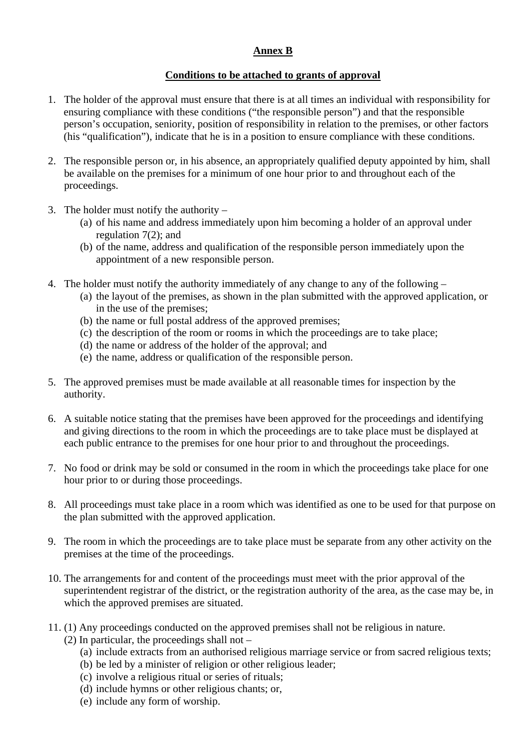## **Annex B**

## **Conditions to be attached to grants of approval**

- 1. The holder of the approval must ensure that there is at all times an individual with responsibility for ensuring compliance with these conditions ("the responsible person") and that the responsible person's occupation, seniority, position of responsibility in relation to the premises, or other factors (his "qualification"), indicate that he is in a position to ensure compliance with these conditions.
- 2. The responsible person or, in his absence, an appropriately qualified deputy appointed by him, shall be available on the premises for a minimum of one hour prior to and throughout each of the proceedings.
- 3. The holder must notify the authority
	- (a) of his name and address immediately upon him becoming a holder of an approval under regulation 7(2); and
	- (b) of the name, address and qualification of the responsible person immediately upon the appointment of a new responsible person.
- 4. The holder must notify the authority immediately of any change to any of the following
	- (a) the layout of the premises, as shown in the plan submitted with the approved application, or in the use of the premises;
	- (b) the name or full postal address of the approved premises;
	- (c) the description of the room or rooms in which the proceedings are to take place;
	- (d) the name or address of the holder of the approval; and
	- (e) the name, address or qualification of the responsible person.
- 5. The approved premises must be made available at all reasonable times for inspection by the authority.
- 6. A suitable notice stating that the premises have been approved for the proceedings and identifying and giving directions to the room in which the proceedings are to take place must be displayed at each public entrance to the premises for one hour prior to and throughout the proceedings.
- 7. No food or drink may be sold or consumed in the room in which the proceedings take place for one hour prior to or during those proceedings.
- 8. All proceedings must take place in a room which was identified as one to be used for that purpose on the plan submitted with the approved application.
- 9. The room in which the proceedings are to take place must be separate from any other activity on the premises at the time of the proceedings.
- 10. The arrangements for and content of the proceedings must meet with the prior approval of the superintendent registrar of the district, or the registration authority of the area, as the case may be, in which the approved premises are situated.
- 11. (1) Any proceedings conducted on the approved premises shall not be religious in nature.
	- (2) In particular, the proceedings shall not
		- (a) include extracts from an authorised religious marriage service or from sacred religious texts;
		- (b) be led by a minister of religion or other religious leader;
		- (c) involve a religious ritual or series of rituals;
		- (d) include hymns or other religious chants; or,
		- (e) include any form of worship.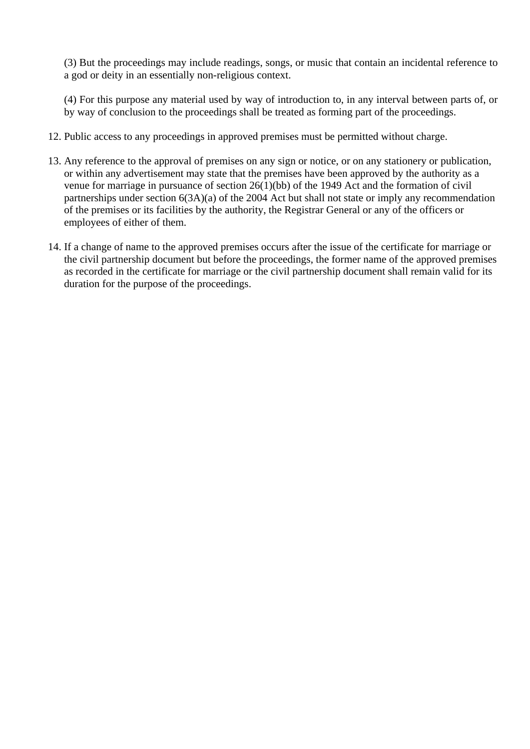(3) But the proceedings may include readings, songs, or music that contain an incidental reference to a god or deity in an essentially non-religious context.

(4) For this purpose any material used by way of introduction to, in any interval between parts of, or by way of conclusion to the proceedings shall be treated as forming part of the proceedings.

- 12. Public access to any proceedings in approved premises must be permitted without charge.
- 13. Any reference to the approval of premises on any sign or notice, or on any stationery or publication, or within any advertisement may state that the premises have been approved by the authority as a venue for marriage in pursuance of section 26(1)(bb) of the 1949 Act and the formation of civil partnerships under section 6(3A)(a) of the 2004 Act but shall not state or imply any recommendation of the premises or its facilities by the authority, the Registrar General or any of the officers or employees of either of them.
- 14. If a change of name to the approved premises occurs after the issue of the certificate for marriage or the civil partnership document but before the proceedings, the former name of the approved premises as recorded in the certificate for marriage or the civil partnership document shall remain valid for its duration for the purpose of the proceedings.